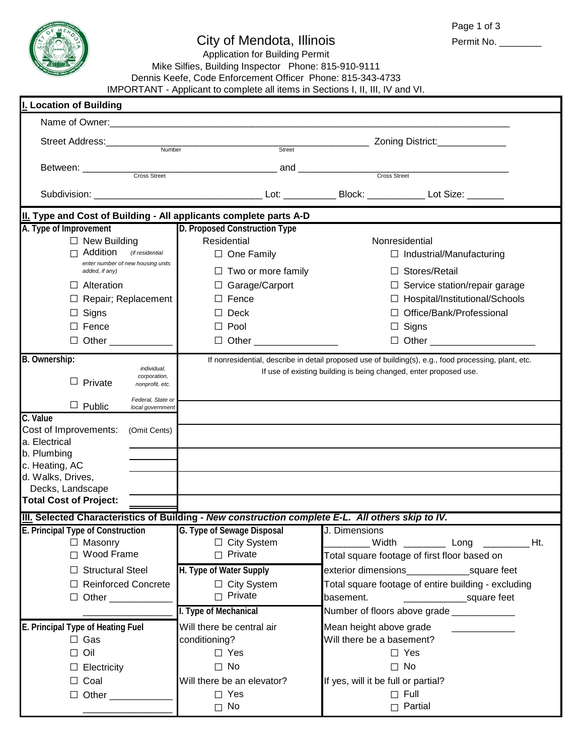

## City of Mendota, Illinois

Permit No. \_\_\_\_\_\_\_\_\_

Application for Building Permit Mike Silfies, Building Inspector Phone: 815-910-9111 Dennis Keefe, Code Enforcement Officer Phone: 815-343-4733

IMPORTANT - Applicant to complete all items in Sections I, II, III, IV and VI.

| I. Location of Building                                                                                                                                  |                                                                                                                                |                                                                                                                                                                            |  |  |  |  |  |  |  |
|----------------------------------------------------------------------------------------------------------------------------------------------------------|--------------------------------------------------------------------------------------------------------------------------------|----------------------------------------------------------------------------------------------------------------------------------------------------------------------------|--|--|--|--|--|--|--|
|                                                                                                                                                          |                                                                                                                                |                                                                                                                                                                            |  |  |  |  |  |  |  |
| Street Address:___________                                                                                                                               | Number<br>Street                                                                                                               | Zoning District:_______________                                                                                                                                            |  |  |  |  |  |  |  |
| Between: Cross Street                                                                                                                                    | and <u>cross Street</u>                                                                                                        |                                                                                                                                                                            |  |  |  |  |  |  |  |
|                                                                                                                                                          |                                                                                                                                |                                                                                                                                                                            |  |  |  |  |  |  |  |
| II. Type and Cost of Building - All applicants complete parts A-D                                                                                        |                                                                                                                                |                                                                                                                                                                            |  |  |  |  |  |  |  |
| A. Type of Improvement<br>$\Box$ New Building<br>Addition<br>(if residential<br>enter number of new housing units<br>added, if any)<br>$\Box$ Alteration | D. Proposed Construction Type<br>Residential<br>$\Box$ One Family<br>$\Box$ Two or more family<br>□ Garage/Carport             | Nonresidential<br>$\Box$ Industrial/Manufacturing<br>$\Box$ Stores/Retail                                                                                                  |  |  |  |  |  |  |  |
| Repair; Replacement<br>Signs<br>$\Box$ Fence<br>$\Box$ Other $\Box$                                                                                      | Fence<br>Deck<br>$\Box$ Pool<br>$\Box$ Other $\Box$                                                                            | $\Box$ Service station/repair garage<br>$\Box$ Hospital/Institutional/Schools<br>□ Office/Bank/Professional<br>$\Box$ Signs                                                |  |  |  |  |  |  |  |
| B. Ownership:<br>individual,<br>corporation,<br>$\Box$ Private<br>nonprofit, etc.<br>Federal, State or<br>$\Box$ Public<br>local government              |                                                                                                                                | If nonresidential, describe in detail proposed use of building(s), e.g., food processing, plant, etc.<br>If use of existing building is being changed, enter proposed use. |  |  |  |  |  |  |  |
| C. Value<br>Cost of Improvements:<br>(Omit Cents)<br>a. Electrical<br>b. Plumbing<br>c. Heating, AC                                                      |                                                                                                                                |                                                                                                                                                                            |  |  |  |  |  |  |  |
| d. Walks, Drives,<br>Decks, Landscape<br><b>Total Cost of Project:</b>                                                                                   |                                                                                                                                |                                                                                                                                                                            |  |  |  |  |  |  |  |
| III. Selected Characteristics of Building - New construction complete E-L. All others skip to IV.                                                        |                                                                                                                                |                                                                                                                                                                            |  |  |  |  |  |  |  |
| E. Principal Type of Construction G. Type of Sewage Disposal J. Dimensions<br>$\Box$ Masonry<br>$\Box$ Wood Frame<br>$\Box$ Structural Steel             | $\Box$ City System<br>$\Box$ Private<br>H. Type of Water Supply                                                                | Total square footage of first floor based on                                                                                                                               |  |  |  |  |  |  |  |
| □ Reinforced Concrete<br>$\Box$ Other                                                                                                                    | $\Box$ City System<br>$\Box$ Private<br>I. Type of Mechanical                                                                  | Total square footage of entire building - excluding<br>basement.<br>square feet<br>Number of floors above grade ____________                                               |  |  |  |  |  |  |  |
| E. Principal Type of Heating Fuel<br>$\Box$ Gas<br>Oil<br>П<br>$\Box$ Electricity<br>$\Box$ Coal                                                         | Will there be central air<br>conditioning?<br>$\Box$ Yes<br>$\Box$ No<br>Will there be an elevator?<br>$\Box$ Yes<br>$\Box$ No | Mean height above grade<br>Will there be a basement?<br>$\Box$ Yes<br>$\square$ No<br>If yes, will it be full or partial?<br>$\Box$ Full<br>$\Box$ Partial                 |  |  |  |  |  |  |  |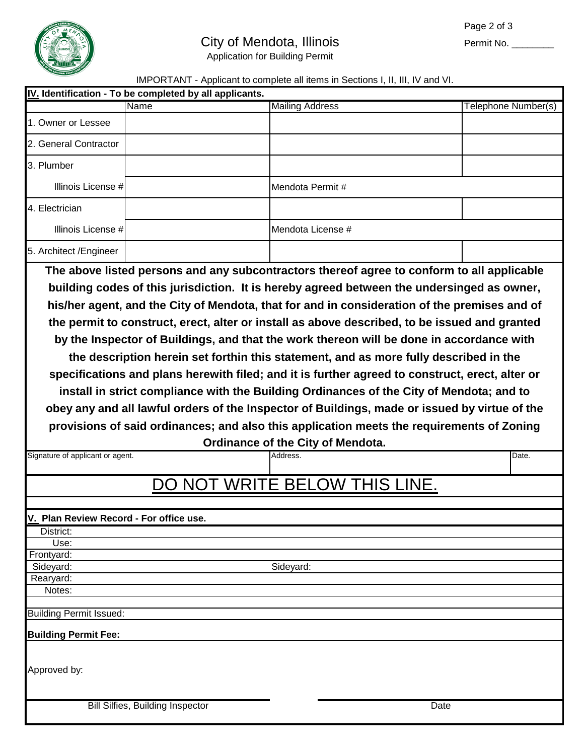

## City of Mendota, Illinois

Permit No. \_\_\_\_\_\_\_\_\_

Application for Building Permit

## IMPORTANT - Applicant to complete all items in Sections I, II, III, IV and VI.

| IV. Identification - To be completed by all applicants. |                                         |                                                      |                                                                                                                                                                                                                                                                                                                                                                                                                                                                                                                                                                                                                                                                                                                                                                                          |
|---------------------------------------------------------|-----------------------------------------|------------------------------------------------------|------------------------------------------------------------------------------------------------------------------------------------------------------------------------------------------------------------------------------------------------------------------------------------------------------------------------------------------------------------------------------------------------------------------------------------------------------------------------------------------------------------------------------------------------------------------------------------------------------------------------------------------------------------------------------------------------------------------------------------------------------------------------------------------|
|                                                         | <b>Name</b>                             | <b>Mailing Address</b>                               | Telephone Number(s)                                                                                                                                                                                                                                                                                                                                                                                                                                                                                                                                                                                                                                                                                                                                                                      |
| 1. Owner or Lessee                                      |                                         |                                                      |                                                                                                                                                                                                                                                                                                                                                                                                                                                                                                                                                                                                                                                                                                                                                                                          |
| 2. General Contractor                                   |                                         |                                                      |                                                                                                                                                                                                                                                                                                                                                                                                                                                                                                                                                                                                                                                                                                                                                                                          |
| 3. Plumber                                              |                                         |                                                      |                                                                                                                                                                                                                                                                                                                                                                                                                                                                                                                                                                                                                                                                                                                                                                                          |
| Illinois License #                                      |                                         | Mendota Permit#                                      |                                                                                                                                                                                                                                                                                                                                                                                                                                                                                                                                                                                                                                                                                                                                                                                          |
| 4. Electrician                                          |                                         |                                                      |                                                                                                                                                                                                                                                                                                                                                                                                                                                                                                                                                                                                                                                                                                                                                                                          |
| Illinois License #                                      |                                         | Mendota License #                                    |                                                                                                                                                                                                                                                                                                                                                                                                                                                                                                                                                                                                                                                                                                                                                                                          |
| 5. Architect /Engineer                                  |                                         |                                                      |                                                                                                                                                                                                                                                                                                                                                                                                                                                                                                                                                                                                                                                                                                                                                                                          |
|                                                         |                                         |                                                      | The above listed persons and any subcontractors thereof agree to conform to all applicable                                                                                                                                                                                                                                                                                                                                                                                                                                                                                                                                                                                                                                                                                               |
| Signature of applicant or agent.                        |                                         | <b>Ordinance of the City of Mendota.</b><br>Address. | his/her agent, and the City of Mendota, that for and in consideration of the premises and of<br>the permit to construct, erect, alter or install as above described, to be issued and granted<br>by the Inspector of Buildings, and that the work thereon will be done in accordance with<br>the description herein set forthin this statement, and as more fully described in the<br>specifications and plans herewith filed; and it is further agreed to construct, erect, alter or<br>install in strict compliance with the Building Ordinances of the City of Mendota; and to<br>obey any and all lawful orders of the Inspector of Buildings, made or issued by virtue of the<br>provisions of said ordinances; and also this application meets the requirements of Zoning<br>Date. |
|                                                         |                                         | NOT WRITE BELOW THIS LINE.                           |                                                                                                                                                                                                                                                                                                                                                                                                                                                                                                                                                                                                                                                                                                                                                                                          |
|                                                         |                                         |                                                      |                                                                                                                                                                                                                                                                                                                                                                                                                                                                                                                                                                                                                                                                                                                                                                                          |
| V. Plan Review Record - For office use.                 |                                         |                                                      |                                                                                                                                                                                                                                                                                                                                                                                                                                                                                                                                                                                                                                                                                                                                                                                          |
| District:                                               |                                         |                                                      |                                                                                                                                                                                                                                                                                                                                                                                                                                                                                                                                                                                                                                                                                                                                                                                          |
| Use:                                                    |                                         |                                                      |                                                                                                                                                                                                                                                                                                                                                                                                                                                                                                                                                                                                                                                                                                                                                                                          |
| Frontyard:                                              |                                         |                                                      |                                                                                                                                                                                                                                                                                                                                                                                                                                                                                                                                                                                                                                                                                                                                                                                          |
| Sideyard:                                               |                                         | Sideyard:                                            |                                                                                                                                                                                                                                                                                                                                                                                                                                                                                                                                                                                                                                                                                                                                                                                          |
| Rearyard:                                               |                                         |                                                      |                                                                                                                                                                                                                                                                                                                                                                                                                                                                                                                                                                                                                                                                                                                                                                                          |
| Notes:                                                  |                                         |                                                      |                                                                                                                                                                                                                                                                                                                                                                                                                                                                                                                                                                                                                                                                                                                                                                                          |
| <b>Building Permit Issued:</b>                          |                                         |                                                      |                                                                                                                                                                                                                                                                                                                                                                                                                                                                                                                                                                                                                                                                                                                                                                                          |
| <b>Building Permit Fee:</b>                             |                                         |                                                      |                                                                                                                                                                                                                                                                                                                                                                                                                                                                                                                                                                                                                                                                                                                                                                                          |
| Approved by:                                            |                                         |                                                      |                                                                                                                                                                                                                                                                                                                                                                                                                                                                                                                                                                                                                                                                                                                                                                                          |
|                                                         | <b>Bill Silfies, Building Inspector</b> |                                                      | Date                                                                                                                                                                                                                                                                                                                                                                                                                                                                                                                                                                                                                                                                                                                                                                                     |